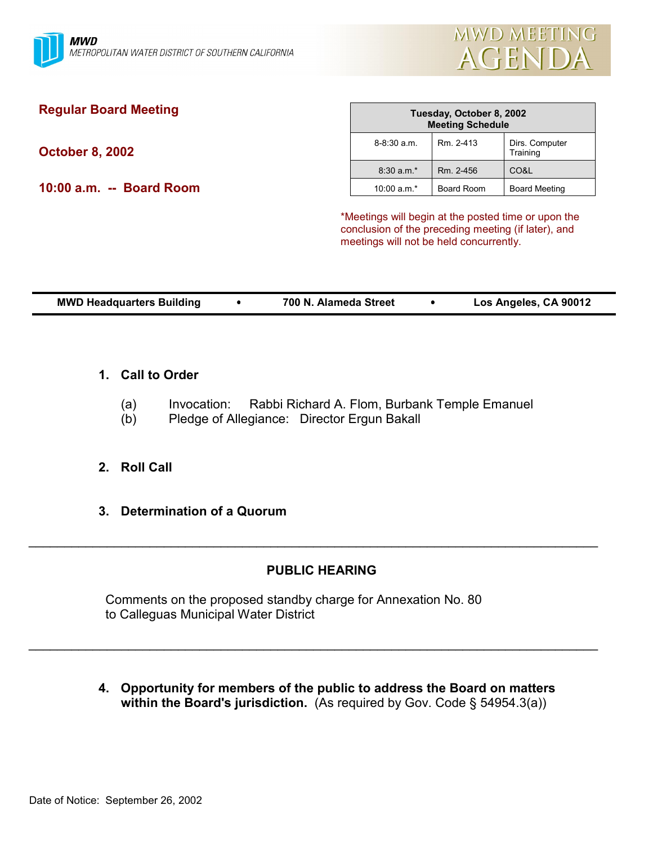

# **Regular Board Meeting**

**October 8, 2002**

**10:00 a.m. -- Board Room**

| Tuesday, October 8, 2002<br><b>Meeting Schedule</b> |            |                            |  |  |  |
|-----------------------------------------------------|------------|----------------------------|--|--|--|
| $8-8:30$ a.m.                                       | Rm. 2-413  | Dirs. Computer<br>Training |  |  |  |
| $8:30 a.m.*$                                        | Rm. 2-456  | CO&L                       |  |  |  |
| $10:00 a.m.*$                                       | Board Room | <b>Board Meeting</b>       |  |  |  |

\*Meetings will begin at the posted time or upon the conclusion of the preceding meeting (if later), and meetings will not be held concurrently.

| <b>MWD Headquarters Building</b> | 700 N. Alameda Street | Los Angeles, CA 90012 |
|----------------------------------|-----------------------|-----------------------|

#### **1. Call to Order**

- (a) Invocation: Rabbi Richard A. Flom, Burbank Temple Emanuel
- (b) Pledge of Allegiance: Director Ergun Bakall

#### **2. Roll Call**

**3. Determination of a Quorum**

#### **PUBLIC HEARING**

 $\_$ 

 $\_$ 

Comments on the proposed standby charge for Annexation No. 80 to Calleguas Municipal Water District

**4. Opportunity for members of the public to address the Board on matters** within the Board's jurisdiction. (As required by Gov. Code § 54954.3(a))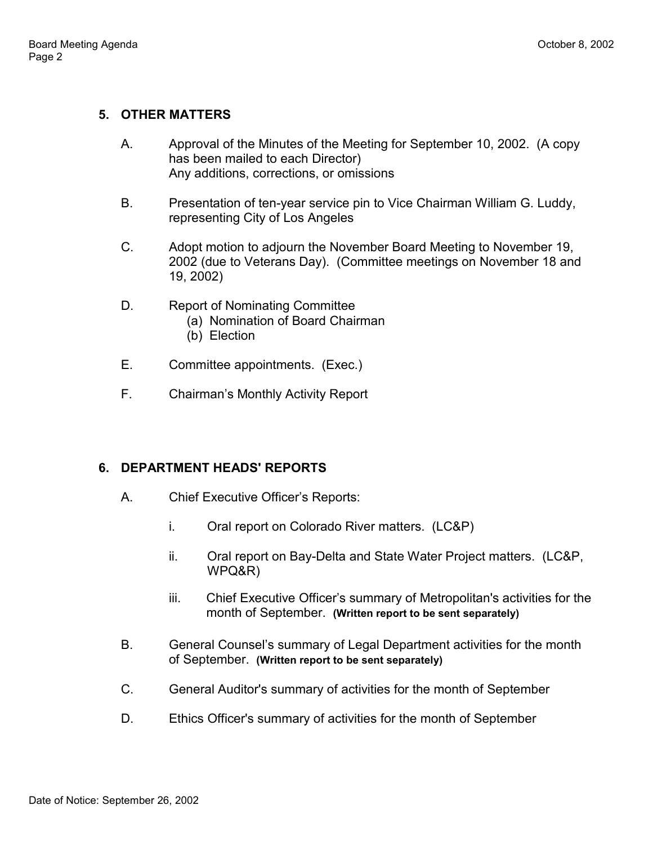### **5. OTHER MATTERS**

- A. Approval of the Minutes of the Meeting for September 10, 2002. (A copy has been mailed to each Director) Any additions, corrections, or omissions
- B. Presentation of ten-year service pin to Vice Chairman William G. Luddy, representing City of Los Angeles
- C. Adopt motion to adjourn the November Board Meeting to November 19, 2002 (due to Veterans Day). (Committee meetings on November 18 and 19, 2002)
- D. Report of Nominating Committee
	- (a) Nomination of Board Chairman
	- (b) Election
- E. Committee appointments. (Exec.)
- F. Chairmanís Monthly Activity Report

#### **6. DEPARTMENT HEADS' REPORTS**

- A. Chief Executive Officer's Reports:
	- i. Oral report on Colorado River matters. (LC&P)
	- ii. Oral report on Bay-Delta and State Water Project matters. (LC&P, WPQ&R)
	- iii. Chief Executive Officer's summary of Metropolitan's activities for the month of September. **(Written report to be sent separately)**
- B. General Counsel's summary of Legal Department activities for the month of September. **(Written report to be sent separately)**
- C. General Auditor's summary of activities for the month of September
- D. Ethics Officer's summary of activities for the month of September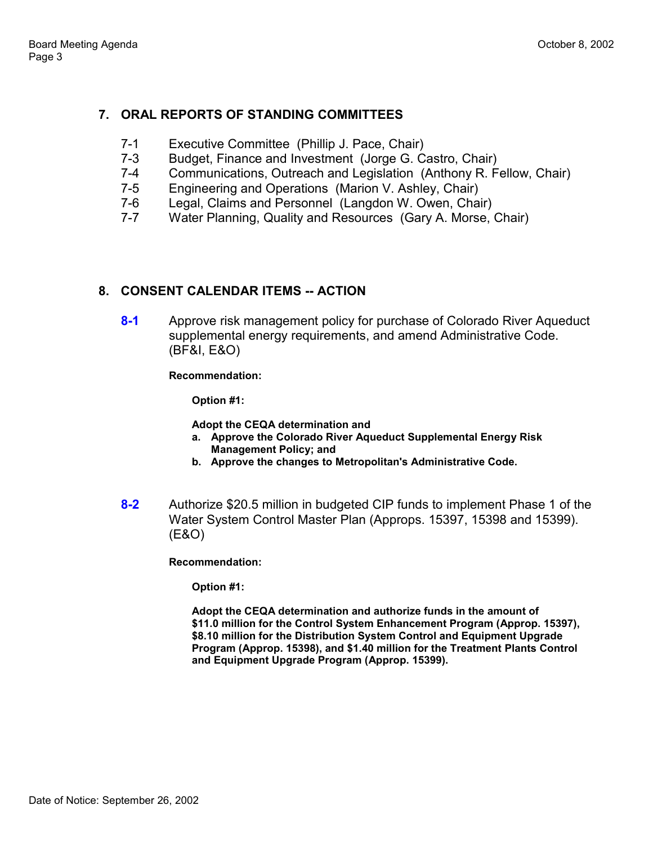## **7. ORAL REPORTS OF STANDING COMMITTEES**

- 7-1 Executive Committee (Phillip J. Pace, Chair)
- 7-3 Budget, Finance and Investment (Jorge G. Castro, Chair)
- 7-4 Communications, Outreach and Legislation (Anthony R. Fellow, Chair)
- 7-5 Engineering and Operations (Marion V. Ashley, Chair)
- 7-6 Legal, Claims and Personnel (Langdon W. Owen, Chair)
- 7-7 Water Planning, Quality and Resources (Gary A. Morse, Chair)

#### **8. CONSENT CALENDAR ITEMS -- ACTION**

**8-1** Approve risk management policy for purchase of Colorado River Aqueduct supplemental energy requirements, and amend Administrative Code. (BF&I, E&O)

**Recommendation:**

**Option #1:**

**Adopt the CEQA determination and**

- **a. Approve the Colorado River Aqueduct Supplemental Energy Risk Management Policy; and**
- **b. Approve the changes to Metropolitan's Administrative Code.**
- **8-2** Authorize \$20.5 million in budgeted CIP funds to implement Phase 1 of the Water System Control Master Plan (Approps. 15397, 15398 and 15399). (E&O)

**Recommendation:**

**Option #1:**

**Adopt the CEQA determination and authorize funds in the amount of \$11.0 million for the Control System Enhancement Program (Approp. 15397), \$8.10 million for the Distribution System Control and Equipment Upgrade Program (Approp. 15398), and \$1.40 million for the Treatment Plants Control and Equipment Upgrade Program (Approp. 15399).**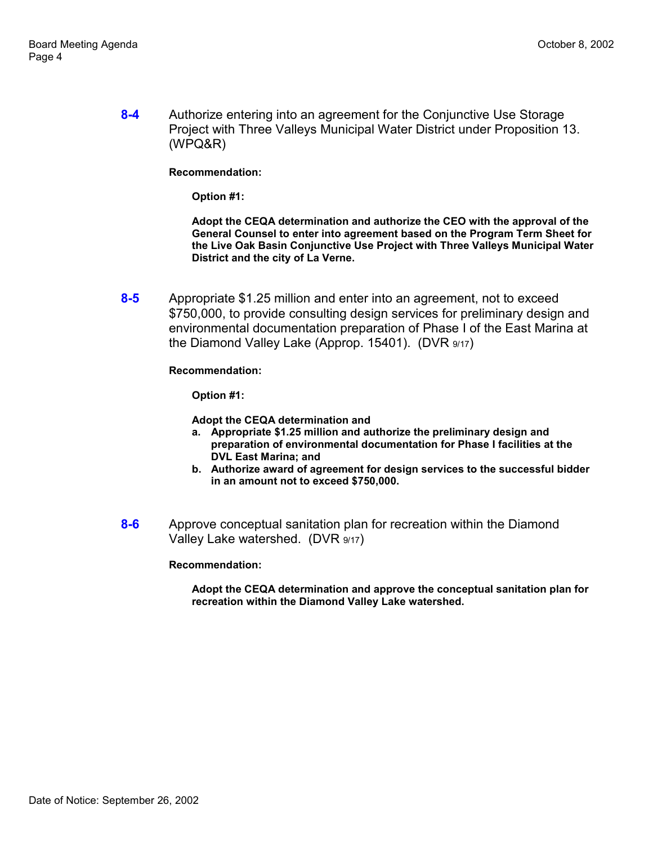**8-4** Authorize entering into an agreement for the Conjunctive Use Storage Project with Three Valleys Municipal Water District under Proposition 13. (WPQ&R)

**Recommendation:**

**Option #1:**

**Adopt the CEQA determination and authorize the CEO with the approval of the General Counsel to enter into agreement based on the Program Term Sheet for the Live Oak Basin Conjunctive Use Project with Three Valleys Municipal Water District and the city of La Verne.**

**8-5** Appropriate \$1.25 million and enter into an agreement, not to exceed \$750,000, to provide consulting design services for preliminary design and environmental documentation preparation of Phase I of the East Marina at the Diamond Valley Lake (Approp. 15401). (DVR 9/17)

**Recommendation:**

**Option #1:**

**Adopt the CEQA determination and**

- **a. Appropriate \$1.25 million and authorize the preliminary design and preparation of environmental documentation for Phase I facilities at the DVL East Marina; and**
- **b. Authorize award of agreement for design services to the successful bidder in an amount not to exceed \$750,000.**
- **8-6** Approve conceptual sanitation plan for recreation within the Diamond Valley Lake watershed. (DVR 9/17)

**Recommendation:**

**Adopt the CEQA determination and approve the conceptual sanitation plan for recreation within the Diamond Valley Lake watershed.**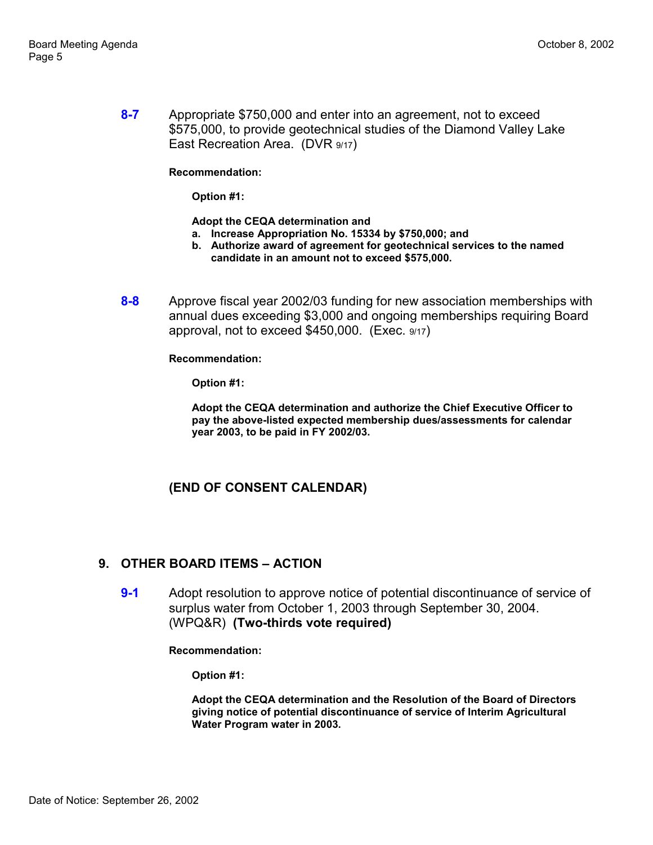**8-7** Appropriate \$750,000 and enter into an agreement, not to exceed \$575,000, to provide geotechnical studies of the Diamond Valley Lake East Recreation Area. (DVR 9/17)

**Recommendation:**

**Option #1:**

**Adopt the CEQA determination and**

- **a. Increase Appropriation No. 15334 by \$750,000; and**
- **b. Authorize award of agreement for geotechnical services to the named candidate in an amount not to exceed \$575,000.**
- **8-8** Approve fiscal year 2002/03 funding for new association memberships with annual dues exceeding \$3,000 and ongoing memberships requiring Board approval, not to exceed \$450,000. (Exec. 9/17)

**Recommendation:**

**Option #1:**

**Adopt the CEQA determination and authorize the Chief Executive Officer to pay the above-listed expected membership dues/assessments for calendar year 2003, to be paid in FY 2002/03.**

#### **(END OF CONSENT CALENDAR)**

#### **9. OTHER BOARD ITEMS - ACTION**

**9-1** Adopt resolution to approve notice of potential discontinuance of service of surplus water from October 1, 2003 through September 30, 2004. (WPQ&R) **(Two-thirds vote required)**

**Recommendation:**

**Option #1:**

**Adopt the CEQA determination and the Resolution of the Board of Directors giving notice of potential discontinuance of service of Interim Agricultural Water Program water in 2003.**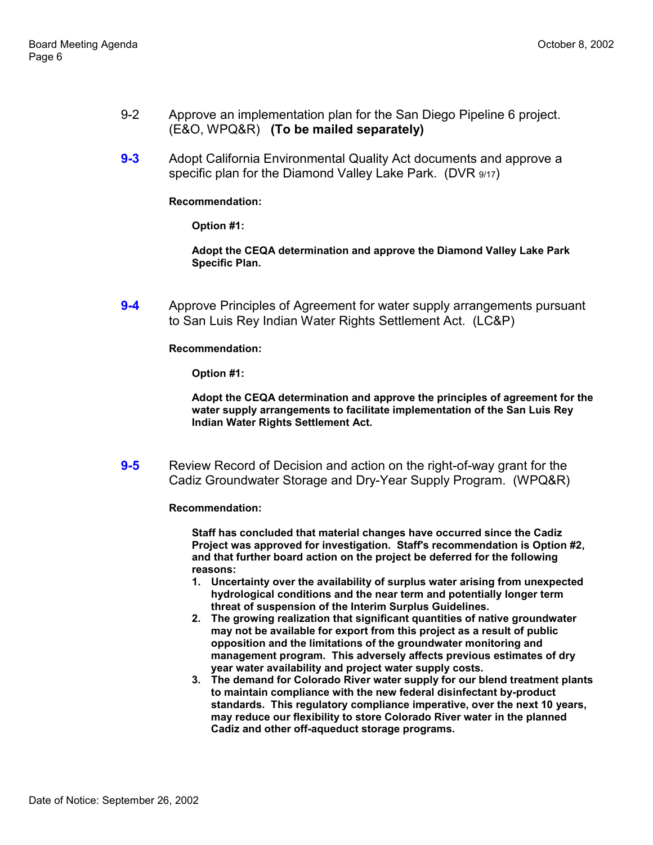- 9-2 Approve an implementation plan for the San Diego Pipeline 6 project. (E&O, WPQ&R) **(To be mailed separately)**
- **9-3** Adopt California Environmental Quality Act documents and approve a specific plan for the Diamond Valley Lake Park. (DVR 9/17)

#### **Recommendation:**

**Option #1:**

**Adopt the CEQA determination and approve the Diamond Valley Lake Park Specific Plan.**

**9-4** Approve Principles of Agreement for water supply arrangements pursuant to San Luis Rey Indian Water Rights Settlement Act. (LC&P)

**Recommendation:**

**Option #1:**

**Adopt the CEQA determination and approve the principles of agreement for the water supply arrangements to facilitate implementation of the San Luis Rey Indian Water Rights Settlement Act.**

**9-5** Review Record of Decision and action on the right-of-way grant for the Cadiz Groundwater Storage and Dry-Year Supply Program. (WPQ&R)

**Recommendation:**

**Staff has concluded that material changes have occurred since the Cadiz Project was approved for investigation. Staff's recommendation is Option #2, and that further board action on the project be deferred for the following reasons:**

- **1. Uncertainty over the availability of surplus water arising from unexpected hydrological conditions and the near term and potentially longer term threat of suspension of the Interim Surplus Guidelines.**
- **2. The growing realization that significant quantities of native groundwater may not be available for export from this project as a result of public opposition and the limitations of the groundwater monitoring and management program. This adversely affects previous estimates of dry year water availability and project water supply costs.**
- **3. The demand for Colorado River water supply for our blend treatment plants to maintain compliance with the new federal disinfectant by-product standards. This regulatory compliance imperative, over the next 10 years, may reduce our flexibility to store Colorado River water in the planned Cadiz and other off-aqueduct storage programs.**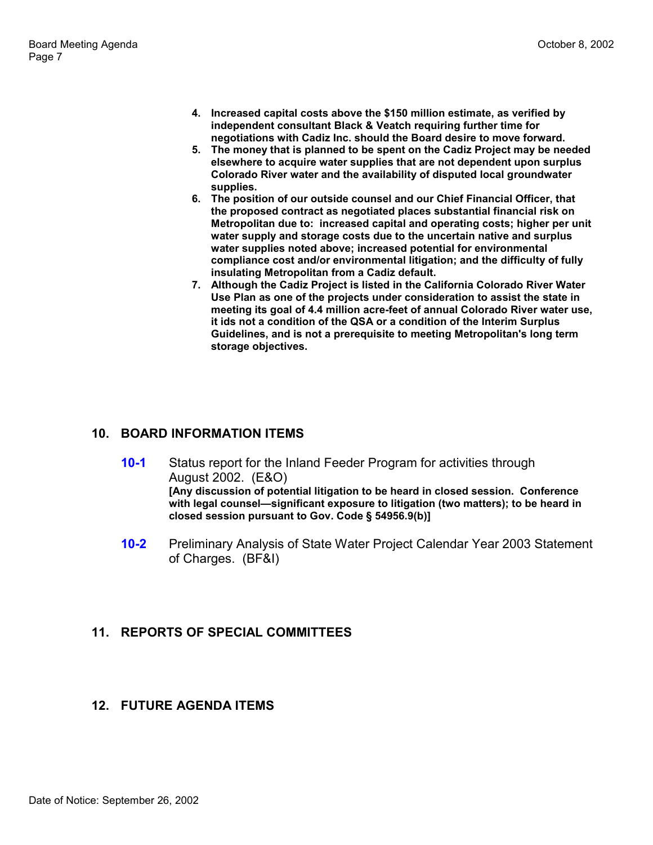- **4. Increased capital costs above the \$150 million estimate, as verified by independent consultant Black & Veatch requiring further time for negotiations with Cadiz Inc. should the Board desire to move forward.**
- **5. The money that is planned to be spent on the Cadiz Project may be needed elsewhere to acquire water supplies that are not dependent upon surplus Colorado River water and the availability of disputed local groundwater supplies.**
- **6. The position of our outside counsel and our Chief Financial Officer, that the proposed contract as negotiated places substantial financial risk on Metropolitan due to: increased capital and operating costs; higher per unit water supply and storage costs due to the uncertain native and surplus water supplies noted above; increased potential for environmental compliance cost and/or environmental litigation; and the difficulty of fully insulating Metropolitan from a Cadiz default.**
- **7. Although the Cadiz Project is listed in the California Colorado River Water Use Plan as one of the projects under consideration to assist the state in meeting its goal of 4.4 million acre-feet of annual Colorado River water use, it ids not a condition of the QSA or a condition of the Interim Surplus Guidelines, and is not a prerequisite to meeting Metropolitan's long term storage objectives.**

# **10. BOARD INFORMATION ITEMS**

- **10-1** Status report for the Inland Feeder Program for activities through August 2002. (E&O) **[Any discussion of potential litigation to be heard in closed session. Conference** with legal counsel—significant exposure to litigation (two matters); to be heard in **closed session pursuant to Gov. Code ß 54956.9(b)]**
- **10-2** Preliminary Analysis of State Water Project Calendar Year 2003 Statement of Charges. (BF&I)

#### **11. REPORTS OF SPECIAL COMMITTEES**

#### **12. FUTURE AGENDA ITEMS**